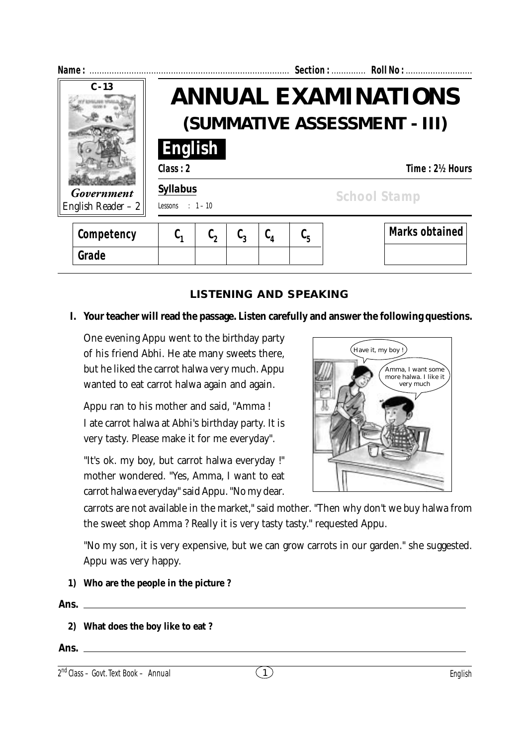| Name:                             |                                     |                                                            |                 |                 |                               | Section:  Roll No :   |  |  |
|-----------------------------------|-------------------------------------|------------------------------------------------------------|-----------------|-----------------|-------------------------------|-----------------------|--|--|
| $C - 13$                          |                                     | <b>ANNUAL EXAMINATIONS</b><br>(SUMMATIVE ASSESSMENT - III) |                 |                 |                               |                       |  |  |
|                                   | English<br>Class: 2                 |                                                            |                 |                 |                               | Time: 21/2 Hours      |  |  |
| Government<br>English Reader $-2$ | <b>Syllabus</b><br>Lessons : $1-10$ |                                                            |                 |                 |                               | <b>School Stamp</b>   |  |  |
| Competency                        | $\complement_1$                     | $\mathfrak{c}_{\mathfrak{p}}$                              | $\complement_3$ | $\complement_4$ | $\mathfrak{c}_{\mathfrak{s}}$ | <b>Marks obtained</b> |  |  |
| Grade                             |                                     |                                                            |                 |                 |                               |                       |  |  |

## **LISTENING AND SPEAKING**

#### **I. Your teacher will read the passage. Listen carefully and answer the following questions.**

One evening Appu went to the birthday party of his friend Abhi. He ate many sweets there, but he liked the carrot halwa very much. Appu wanted to eat carrot halwa again and again.

Appu ran to his mother and said, "Amma ! I ate carrot halwa at Abhi's birthday party. It is very tasty. Please make it for me everyday".

"It's ok. my boy, but carrot halwa everyday !" mother wondered. "Yes, Amma, I want to eat carrot halwa everyday" said Appu. "No my dear.



carrots are not available in the market," said mother. "Then why don't we buy halwa from the sweet shop Amma ? Really it is very tasty tasty." requested Appu.

"No my son, it is very expensive, but we can grow carrots in our garden." she suggested. Appu was very happy.

**1) Who are the people in the picture ?**

**Ans.**

- **2) What does the boy like to eat ?**
- **Ans.**

<sup>2</sup> 1 nd Class – Govt. Text Book – **Annual** English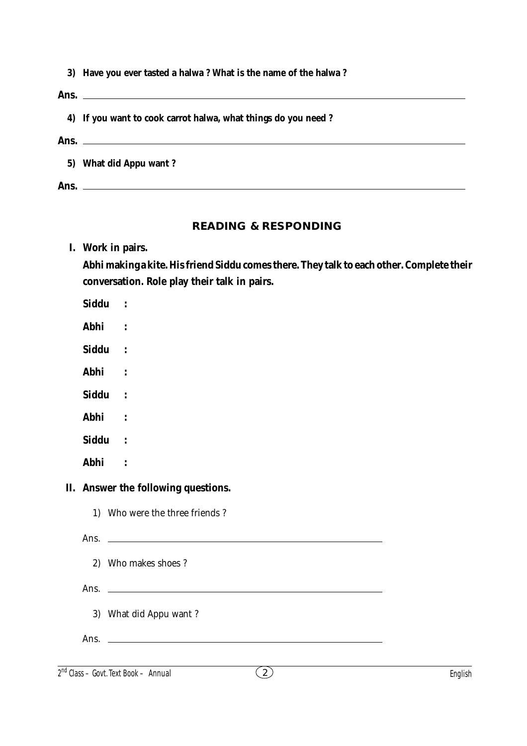|  |  |  |  | 3) Have you ever tasted a halwa? What is the name of the halwa? |
|--|--|--|--|-----------------------------------------------------------------|
|--|--|--|--|-----------------------------------------------------------------|

**Ans. 4) If you want to cook carrot halwa, what things do you need ? Ans. 5) What did Appu want ? Ans.**

#### **READING & RESPONDING**

| I. | Work in pairs. |  |
|----|----------------|--|
|    |                |  |

**Abhi making a kite. His friend Siddu comes there. They talk to each other. Complete their conversation. Role play their talk in pairs.**

**Siddu :**

**Abhi :**

**Siddu :**

**Abhi :**

**Siddu :**

**Abhi :**

**Siddu :**

**Abhi :**

#### **II. Answer the following questions.**

1) Who were the three friends ?

Ans.

2) Who makes shoes ?

Ans.

3) What did Appu want ?

Ans.

2 2 nd Class – Govt. Text Book – **Annual** English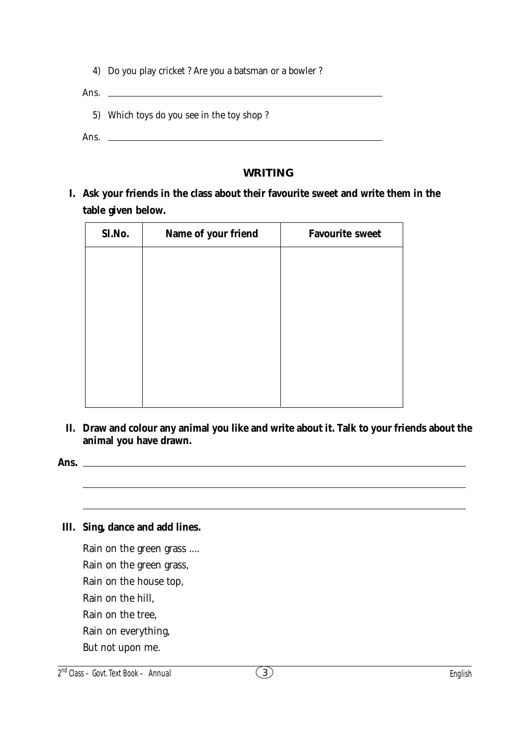|  | 4) Do you play cricket ? Are you a batsman or a bowler ? |  |  |
|--|----------------------------------------------------------|--|--|
|  |                                                          |  |  |

Ans. 5) Which toys do you see in the toy shop ?

Ans.  $\qquad$ 

### **WRITING**

**I. Ask your friends in the class about their favourite sweet and write them in the table given below.**

| Sl.No. | Name of your friend | <b>Favourite sweet</b> |
|--------|---------------------|------------------------|
|        |                     |                        |
|        |                     |                        |
|        |                     |                        |
|        |                     |                        |
|        |                     |                        |
|        |                     |                        |
|        |                     |                        |

**II. Draw and colour any animal you like and write about it. Talk to your friends about the animal you have drawn.**

**Ans.**

### **III. Sing, dance and add lines.**

Rain on the green grass .... Rain on the green grass, Rain on the house top, Rain on the hill, Rain on the tree, Rain on everything, But not upon me.